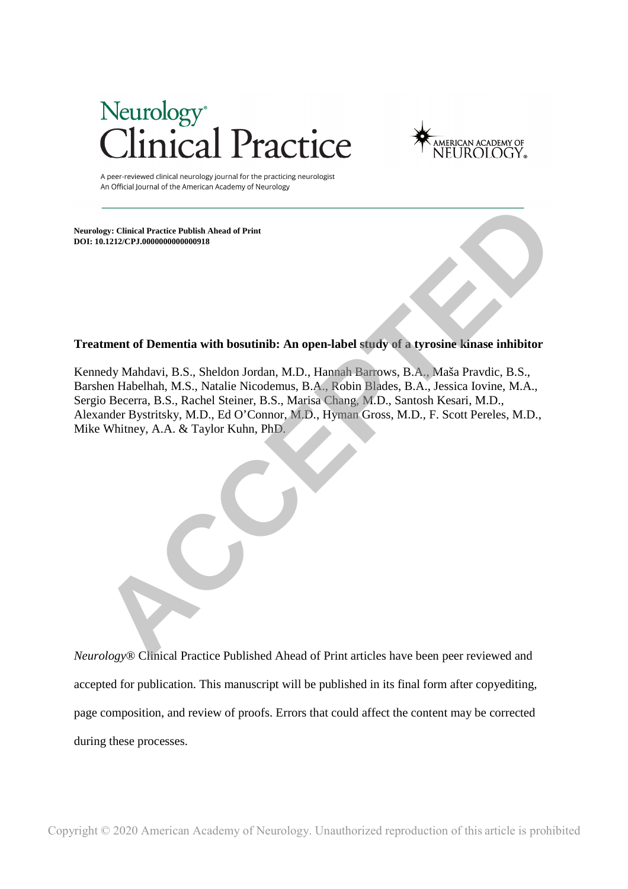## Neurology<sup>®</sup> Practice



A peer-reviewed clinical neurology journal for the practicing neurologist An Official Journal of the American Academy of Neurology

**Neurology: Clinical Practice Publish Ahead of Print DOI: 10.1212/CPJ.0000000000000918**

## **Treatment of Dementia with bosutinib: An open-label study of a tyrosine kinase inhibitor**

Kennedy Mahdavi, B.S., Sheldon Jordan, M.D., Hannah Barrows, B.A., Maša Pravdic, B.S., Barshen Habelhah, M.S., Natalie Nicodemus, B.A., Robin Blades, B.A., Jessica Iovine, M.A., Sergio Becerra, B.S., Rachel Steiner, B.S., Marisa Chang, M.D., Santosh Kesari, M.D., Alexander Bystritsky, M.D., Ed O'Connor, M.D., Hyman Gross, M.D., F. Scott Pereles, M.D., Mike Whitney, A.A. & Taylor Kuhn, PhD. **Angle Clinical Practice Publish Ahead of Print<br>
MacCEPT ABORD INTERFERIENCE SERVICES AND STRIP INTO THE SERVICE CONDUCT AND MACCEPT AREAL CONDUCTED AND A MACCEPT AND A MACCEPT AND A MACCEPT AND A MACCEPT AND A MACCEPT AND** 

*Neurology*® Clinical Practice Published Ahead of Print articles have been peer reviewed and accepted for publication. This manuscript will be published in its final form after copyediting, page composition, and review of proofs. Errors that could affect the content may be corrected during these processes.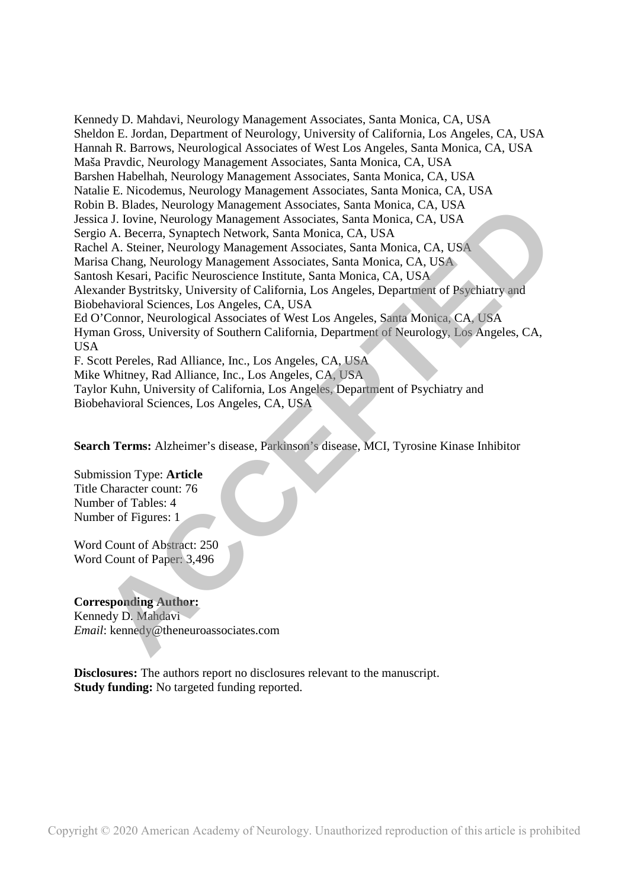Kennedy D. Mahdavi, Neurology Management Associates, Santa Monica, CA, USA Sheldon E. Jordan, Department of Neurology, University of California, Los Angeles, CA, USA Hannah R. Barrows, Neurological Associates of West Los Angeles, Santa Monica, CA, USA Maša Pravdic, Neurology Management Associates, Santa Monica, CA, USA Barshen Habelhah, Neurology Management Associates, Santa Monica, CA, USA Natalie E. Nicodemus, Neurology Management Associates, Santa Monica, CA, USA Robin B. Blades, Neurology Management Associates, Santa Monica, CA, USA Jessica J. Iovine, Neurology Management Associates, Santa Monica, CA, USA Sergio A. Becerra, Synaptech Network, Santa Monica, CA, USA Rachel A. Steiner, Neurology Management Associates, Santa Monica, CA, USA Marisa Chang, Neurology Management Associates, Santa Monica, CA, USA Santosh Kesari, Pacific Neuroscience Institute, Santa Monica, CA, USA Alexander Bystritsky, University of California, Los Angeles, Department of Psychiatry and Biobehavioral Sciences, Los Angeles, CA, USA Ed O'Connor, Neurological Associates of West Los Angeles, Santa Monica, CA, USA Hyman Gross, University of Southern California, Department of Neurology, Los Angeles, CA, USA F. Scott Pereles, Rad Alliance, Inc., Los Angeles, CA, USA Mike Whitney, Rad Alliance, Inc., Los Angeles, CA, USA Taylor Kuhn, University of California, Los Angeles, Department of Psychiatry and Robin B. Blacks, Neurology Management Associates, Santa Monica, CA, USA<br>
Reside J. Boetone, Synaptoch Network, Santa Monica, CA, USA<br>
Reachel A. Steiner, Synaptoch Network, Santa Monica, CA, USA<br>
Rachel A. Steiner, Synapto

Biobehavioral Sciences, Los Angeles, CA, USA

**Search Terms:** Alzheimer's disease, Parkinson's disease, MCI, Tyrosine Kinase Inhibitor

Submission Type: **Article** Title Character count: 76 Number of Tables: 4 Number of Figures: 1

Word Count of Abstract: 250 Word Count of Paper: 3,496

**Corresponding Author:**  Kennedy D. Mahdavi *Email*: kennedy@theneuroassociates.com

**Disclosures:** The authors report no disclosures relevant to the manuscript.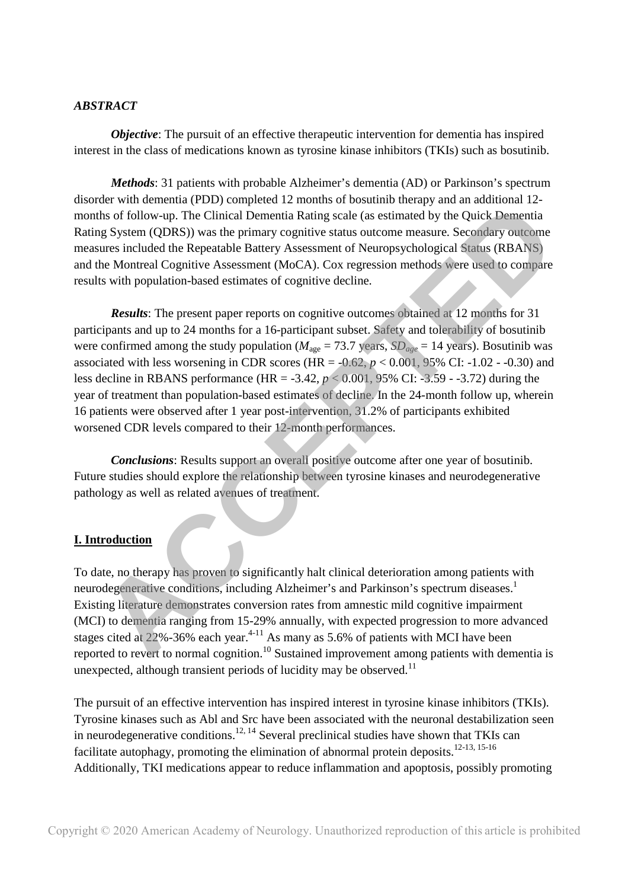#### *ABSTRACT*

*Objective:* The pursuit of an effective therapeutic intervention for dementia has inspired interest in the class of medications known as tyrosine kinase inhibitors (TKIs) such as bosutinib.

*Methods*: 31 patients with probable Alzheimer's dementia (AD) or Parkinson's spectrum disorder with dementia (PDD) completed 12 months of bosutinib therapy and an additional 12 months of follow-up. The Clinical Dementia Rating scale (as estimated by the Quick Dementia Rating System (QDRS)) was the primary cognitive status outcome measure. Secondary outcome measures included the Repeatable Battery Assessment of Neuropsychological Status (RBANS) and the Montreal Cognitive Assessment (MoCA). Cox regression methods were used to compare results with population-based estimates of cognitive decline.

*Results*: The present paper reports on cognitive outcomes obtained at 12 months for 31 participants and up to 24 months for a 16-participant subset. Safety and tolerability of bosutinib were confirmed among the study population ( $M_{\text{age}} = 73.7$  years,  $SD_{\text{age}} = 14$  years). Bosutinib was associated with less worsening in CDR scores (HR =  $-0.62$ ,  $p < 0.001$ , 95% CI:  $-1.02 - 0.30$ ) and less decline in RBANS performance (HR = -3.42, *p* < 0.001, 95% CI: -3.59 - -3.72) during the year of treatment than population-based estimates of decline. In the 24-month follow up, wherein 16 patients were observed after 1 year post-intervention, 31.2% of participants exhibited worsened CDR levels compared to their 12-month performances. the wint them that prior) completed 12 cmlotins to ross<br>antito the system (PDD) complete 12 montant can be solution the Quick Demetria<br>g System (QDRS)) was the primary cognitive status outcome measure. Secondary outcome<br>g

*Conclusions*: Results support an overall positive outcome after one year of bosutinib. Future studies should explore the relationship between tyrosine kinases and neurodegenerative pathology as well as related avenues of treatment.

## **I. Introduction**

To date, no therapy has proven to significantly halt clinical deterioration among patients with neurodegenerative conditions, including Alzheimer's and Parkinson's spectrum diseases.<sup>1</sup> Existing literature demonstrates conversion rates from amnestic mild cognitive impairment (MCI) to dementia ranging from 15-29% annually, with expected progression to more advanced stages cited at  $22\%$ -36% each year.<sup>4-11</sup> As many as 5.6% of patients with MCI have been reported to revert to normal cognition.<sup>10</sup> Sustained improvement among patients with dementia is unexpected, although transient periods of lucidity may be observed.<sup>11</sup>

The pursuit of an effective intervention has inspired interest in tyrosine kinase inhibitors (TKIs). Tyrosine kinases such as Abl and Src have been associated with the neuronal destabilization seen in neurodegenerative conditions.<sup>12, 14</sup> Several preclinical studies have shown that TKIs can facilitate autophagy, promoting the elimination of abnormal protein deposits.<sup>12-13, 15-16</sup> Additionally, TKI medications appear to reduce inflammation and apoptosis, possibly promoting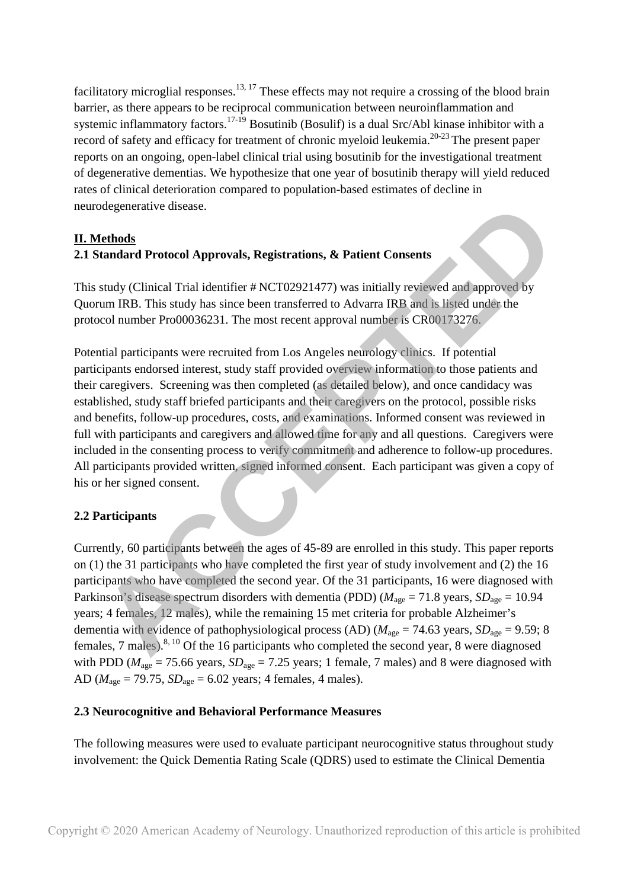facilitatory microglial responses.<sup>13, 17</sup> These effects may not require a crossing of the blood brain barrier, as there appears to be reciprocal communication between neuroinflammation and systemic inflammatory factors.<sup>17-19</sup> Bosutinib (Bosulif) is a dual Src/Abl kinase inhibitor with a record of safety and efficacy for treatment of chronic myeloid leukemia.20-23 The present paper reports on an ongoing, open-label clinical trial using bosutinib for the investigational treatment of degenerative dementias. We hypothesize that one year of bosutinib therapy will yield reduced rates of clinical deterioration compared to population-based estimates of decline in neurodegenerative disease.

#### **II. Methods**

## **2.1 Standard Protocol Approvals, Registrations, & Patient Consents**

This study (Clinical Trial identifier # NCT02921477) was initially reviewed and approved by Quorum IRB. This study has since been transferred to Advarra IRB and is listed under the protocol number Pro00036231. The most recent approval number is CR00173276.

Potential participants were recruited from Los Angeles neurology clinics. If potential participants endorsed interest, study staff provided overview information to those patients and their caregivers. Screening was then completed (as detailed below), and once candidacy was established, study staff briefed participants and their caregivers on the protocol, possible risks and benefits, follow-up procedures, costs, and examinations. Informed consent was reviewed in full with participants and caregivers and allowed time for any and all questions. Caregivers were included in the consenting process to verify commitment and adherence to follow-up procedures. All participants provided written, signed informed consent. Each participant was given a copy of his or her signed consent. **Instance disease.**<br> **Actions**<br> **Actions**<br> **Actions**<br> **Actions**<br> **Actions**<br> **ACCE TRIM**<br> **ACCE TRIM**<br> **ACCE TRIM**<br> **ACCE TRIM**<br> **ACCE TRIM**<br> **ACCE TRIM**<br> **ACCE TRIM**<br> **ACCE TRIM**<br> **ACCE TRIM**<br> **ACCE TRIM**<br> **ACCE TRIM**<br> **AC** 

#### **2.2 Participants**

Currently, 60 participants between the ages of 45-89 are enrolled in this study. This paper reports on (1) the 31 participants who have completed the first year of study involvement and (2) the 16 participants who have completed the second year. Of the 31 participants, 16 were diagnosed with Parkinson's disease spectrum disorders with dementia (PDD) ( $M_{\text{age}} = 71.8$  years,  $SD_{\text{age}} = 10.94$ years; 4 females, 12 males), while the remaining 15 met criteria for probable Alzheimer's dementia with evidence of pathophysiological process (AD) ( $M_{\text{age}} = 74.63$  years,  $SD_{\text{age}} = 9.59$ ; 8 females, 7 males).<sup>8, 10</sup> Of the 16 participants who completed the second year, 8 were diagnosed with PDD ( $M_{\text{age}} = 75.66$  years,  $SD_{\text{age}} = 7.25$  years; 1 female, 7 males) and 8 were diagnosed with AD ( $M_{\text{age}} = 79.75$ ,  $SD_{\text{age}} = 6.02$  years; 4 females, 4 males).

#### **2.3 Neurocognitive and Behavioral Performance Measures**

The following measures were used to evaluate participant neurocognitive status throughout study involvement: the Quick Dementia Rating Scale (QDRS) used to estimate the Clinical Dementia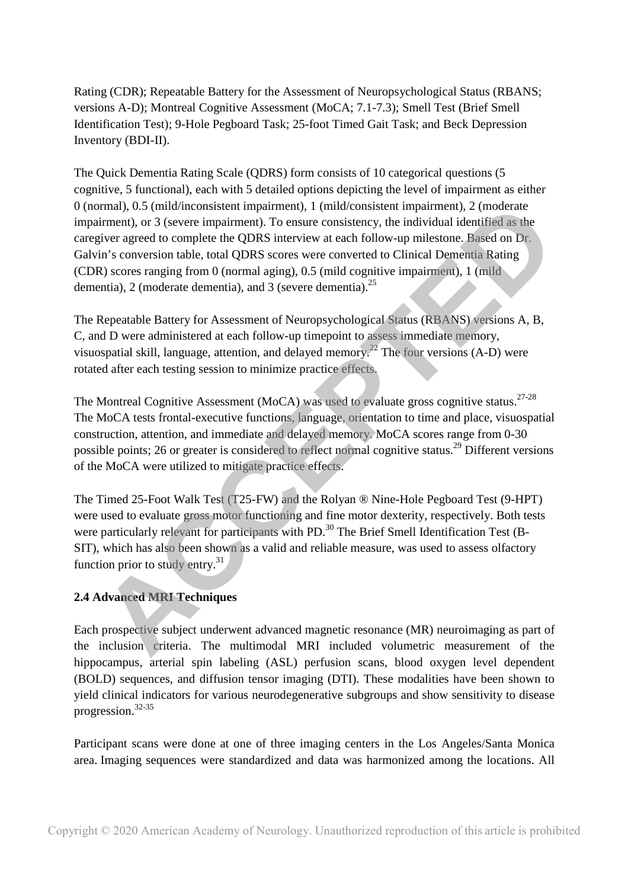Rating (CDR); Repeatable Battery for the Assessment of Neuropsychological Status (RBANS; versions A-D); Montreal Cognitive Assessment (MoCA; 7.1-7.3); Smell Test (Brief Smell Identification Test); 9-Hole Pegboard Task; 25-foot Timed Gait Task; and Beck Depression Inventory (BDI-II).

The Quick Dementia Rating Scale (QDRS) form consists of 10 categorical questions (5 cognitive, 5 functional), each with 5 detailed options depicting the level of impairment as either 0 (normal), 0.5 (mild/inconsistent impairment), 1 (mild/consistent impairment), 2 (moderate impairment), or 3 (severe impairment). To ensure consistency, the individual identified as the caregiver agreed to complete the QDRS interview at each follow-up milestone. Based on Dr. Galvin's conversion table, total QDRS scores were converted to Clinical Dementia Rating (CDR) scores ranging from 0 (normal aging), 0.5 (mild cognitive impairment), 1 (mild dementia), 2 (moderate dementia), and 3 (severe dementia).<sup>25</sup> ornal), 0.5 (mild/inconsistent impairment), 1 (mild/consistent impairment). 2 (moderate<br>intent), or 3 (severe impairment), 1 Cosure consistency, the indviolval identified as the<br>intern), or 3 (severe impairment). To ensure

The Repeatable Battery for Assessment of Neuropsychological Status (RBANS) versions A, B, C, and D were administered at each follow-up timepoint to assess immediate memory, visuospatial skill, language, attention, and delayed memory.<sup>22</sup> The four versions (A-D) were rotated after each testing session to minimize practice effects.

The Montreal Cognitive Assessment (MoCA) was used to evaluate gross cognitive status.<sup>27-28</sup> The MoCA tests frontal-executive functions, language, orientation to time and place, visuospatial construction, attention, and immediate and delayed memory. MoCA scores range from 0-30 possible points; 26 or greater is considered to reflect normal cognitive status.<sup>29</sup> Different versions of the MoCA were utilized to mitigate practice effects.

The Timed 25-Foot Walk Test (T25-FW) and the Rolyan ® Nine-Hole Pegboard Test (9-HPT) were used to evaluate gross motor functioning and fine motor dexterity, respectively. Both tests were particularly relevant for participants with PD.<sup>30</sup> The Brief Smell Identification Test (B-SIT), which has also been shown as a valid and reliable measure, was used to assess olfactory function prior to study entry. $31$ 

## **2.4 Advanced MRI Techniques**

Each prospective subject underwent advanced magnetic resonance (MR) neuroimaging as part of the inclusion criteria. The multimodal MRI included volumetric measurement of the hippocampus, arterial spin labeling (ASL) perfusion scans, blood oxygen level dependent (BOLD) sequences, and diffusion tensor imaging (DTI). These modalities have been shown to yield clinical indicators for various neurodegenerative subgroups and show sensitivity to disease progression.32-35

Participant scans were done at one of three imaging centers in the Los Angeles/Santa Monica area. Imaging sequences were standardized and data was harmonized among the locations. All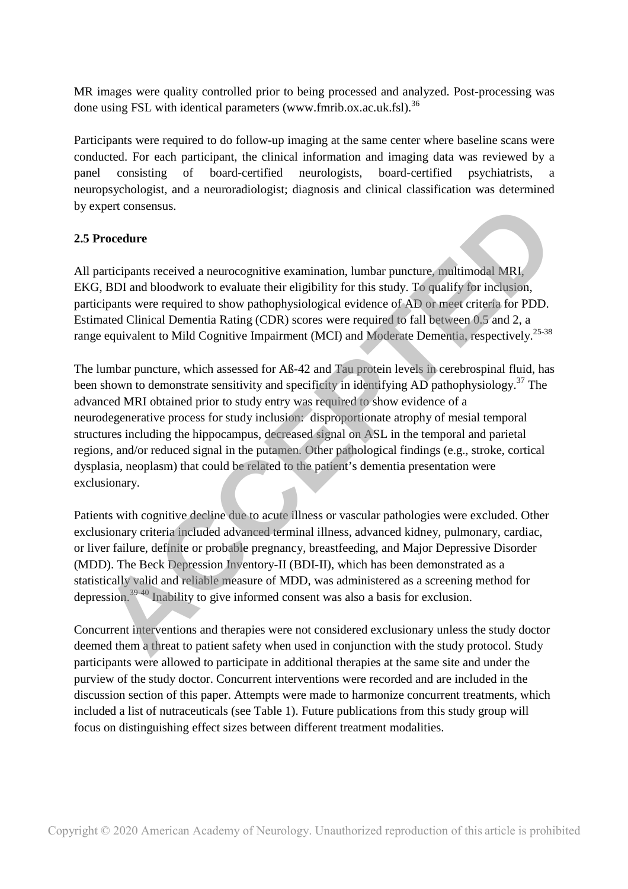MR images were quality controlled prior to being processed and analyzed. Post-processing was done using FSL with identical parameters (www.fmrib.ox.ac.uk.fsl).<sup>36</sup>

Participants were required to do follow-up imaging at the same center where baseline scans were conducted. For each participant, the clinical information and imaging data was reviewed by a panel consisting of board-certified neurologists, board-certified psychiatrists, a neuropsychologist, and a neuroradiologist; diagnosis and clinical classification was determined by expert consensus.

## **2.5 Procedure**

All participants received a neurocognitive examination, lumbar puncture, multimodal MRI, EKG, BDI and bloodwork to evaluate their eligibility for this study. To qualify for inclusion, participants were required to show pathophysiological evidence of AD or meet criteria for PDD. Estimated Clinical Dementia Rating (CDR) scores were required to fall between 0.5 and 2, a range equivalent to Mild Cognitive Impairment (MCI) and Moderate Dementia, respectively.<sup>25-38</sup>

The lumbar puncture, which assessed for Aß-42 and Tau protein levels in cerebrospinal fluid, has been shown to demonstrate sensitivity and specificity in identifying AD pathophysiology.<sup>37</sup> The advanced MRI obtained prior to study entry was required to show evidence of a neurodegenerative process for study inclusion: disproportionate atrophy of mesial temporal structures including the hippocampus, decreased signal on ASL in the temporal and parietal regions, and/or reduced signal in the putamen. Other pathological findings (e.g., stroke, cortical dysplasia, neoplasm) that could be related to the patient's dementia presentation were exclusionary. **Procedure**<br> **ACCED**<br> **ACCED**<br> **ACCED**<br> **ACCED**<br> **ACCED**<br> **ACCED**<br> **ACCED**<br> **ACCED**<br> **ACCED**<br> **ACCED**<br> **ACCED**<br> **ACCED**<br> **ACCED**<br> **ACCED**<br> **ACCED**<br> **ACCED**<br> **ACCED**<br> **ACCED**<br> **ACCED**<br> **ACCED**<br> **ACCED**<br> **ACCED**<br> **ACCED**<br> **A** 

Patients with cognitive decline due to acute illness or vascular pathologies were excluded. Other exclusionary criteria included advanced terminal illness, advanced kidney, pulmonary, cardiac, or liver failure, definite or probable pregnancy, breastfeeding, and Major Depressive Disorder (MDD). The Beck Depression Inventory-II (BDI-II), which has been demonstrated as a statistically valid and reliable measure of MDD, was administered as a screening method for depression.39-40 Inability to give informed consent was also a basis for exclusion.

Concurrent interventions and therapies were not considered exclusionary unless the study doctor deemed them a threat to patient safety when used in conjunction with the study protocol. Study participants were allowed to participate in additional therapies at the same site and under the purview of the study doctor. Concurrent interventions were recorded and are included in the discussion section of this paper. Attempts were made to harmonize concurrent treatments, which included a list of nutraceuticals (see Table 1). Future publications from this study group will focus on distinguishing effect sizes between different treatment modalities.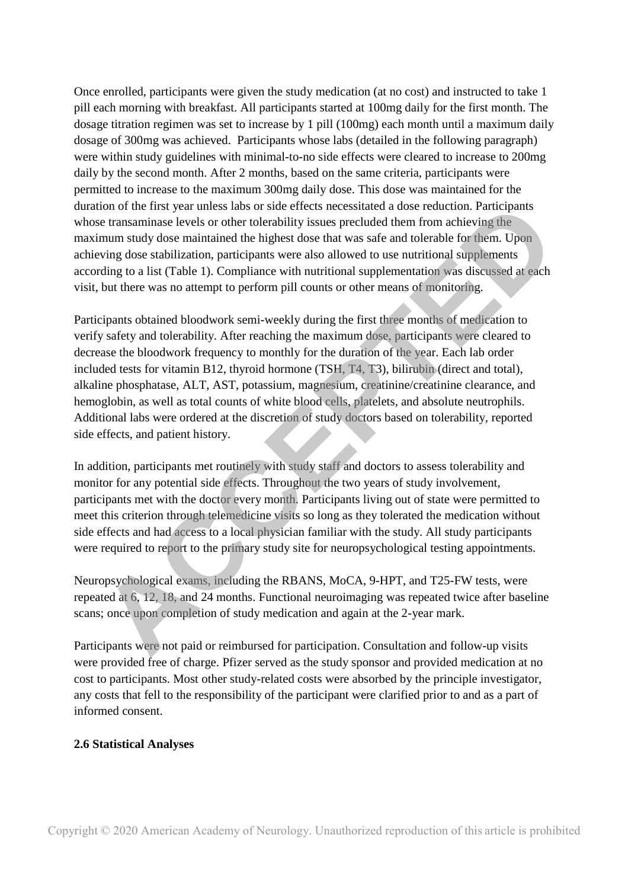Once enrolled, participants were given the study medication (at no cost) and instructed to take 1 pill each morning with breakfast. All participants started at 100mg daily for the first month. The dosage titration regimen was set to increase by 1 pill (100mg) each month until a maximum daily dosage of 300mg was achieved. Participants whose labs (detailed in the following paragraph) were within study guidelines with minimal-to-no side effects were cleared to increase to 200mg daily by the second month. After 2 months, based on the same criteria, participants were permitted to increase to the maximum 300mg daily dose. This dose was maintained for the duration of the first year unless labs or side effects necessitated a dose reduction. Participants whose transaminase levels or other tolerability issues precluded them from achieving the maximum study dose maintained the highest dose that was safe and tolerable for them. Upon achieving dose stabilization, participants were also allowed to use nutritional supplements according to a list (Table 1). Compliance with nutritional supplementation was discussed at each visit, but there was no attempt to perform pill counts or other means of monitoring.

Participants obtained bloodwork semi-weekly during the first three months of medication to verify safety and tolerability. After reaching the maximum dose, participants were cleared to decrease the bloodwork frequency to monthly for the duration of the year. Each lab order included tests for vitamin B12, thyroid hormone (TSH, T4, T3), bilirubin (direct and total), alkaline phosphatase, ALT, AST, potassium, magnesium, creatinine/creatinine clearance, and hemoglobin, as well as total counts of white blood cells, platelets, and absolute neutrophils. Additional labs were ordered at the discretion of study doctors based on tolerability, reported side effects, and patient history. tion of the first year unless labs or side effects necessitated a dose reduction. Participants<br>te transaminase levels or other tolerability issues precluded them from achieving them<br>timm study dose maintained the highest d

In addition, participants met routinely with study staff and doctors to assess tolerability and monitor for any potential side effects. Throughout the two years of study involvement, participants met with the doctor every month. Participants living out of state were permitted to meet this criterion through telemedicine visits so long as they tolerated the medication without side effects and had access to a local physician familiar with the study. All study participants were required to report to the primary study site for neuropsychological testing appointments.

Neuropsychological exams, including the RBANS, MoCA, 9-HPT, and T25-FW tests, were repeated at 6, 12, 18, and 24 months. Functional neuroimaging was repeated twice after baseline scans; once upon completion of study medication and again at the 2-year mark.

Participants were not paid or reimbursed for participation. Consultation and follow-up visits were provided free of charge. Pfizer served as the study sponsor and provided medication at no cost to participants. Most other study-related costs were absorbed by the principle investigator, any costs that fell to the responsibility of the participant were clarified prior to and as a part of informed consent.

## **2.6 Statistical Analyses**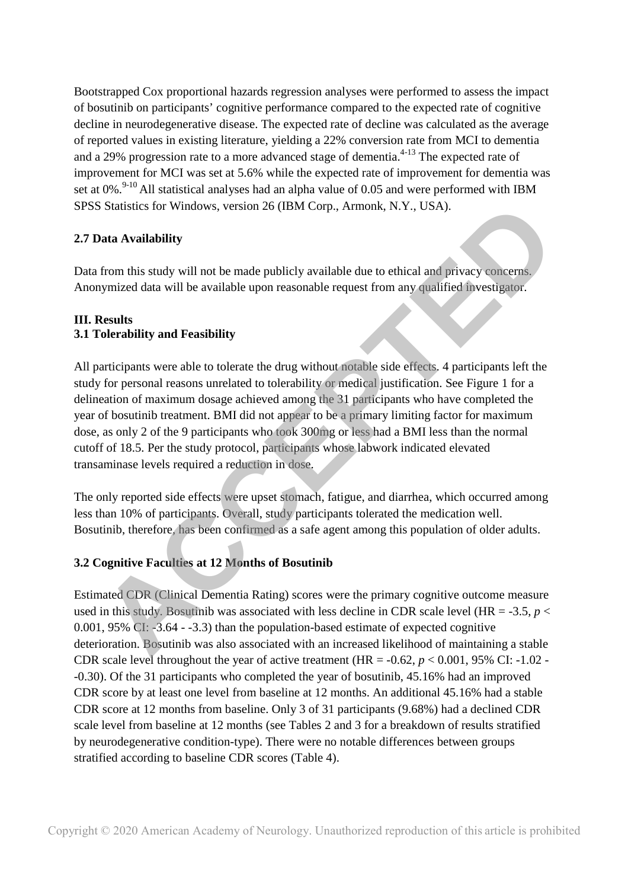Bootstrapped Cox proportional hazards regression analyses were performed to assess the impact of bosutinib on participants' cognitive performance compared to the expected rate of cognitive decline in neurodegenerative disease. The expected rate of decline was calculated as the average of reported values in existing literature, yielding a 22% conversion rate from MCI to dementia and a 29% progression rate to a more advanced stage of dementia.<sup>4-13</sup> The expected rate of improvement for MCI was set at 5.6% while the expected rate of improvement for dementia was set at  $0\%$ .<sup>9-10</sup> All statistical analyses had an alpha value of 0.05 and were performed with IBM SPSS Statistics for Windows, version 26 (IBM Corp., Armonk, N.Y., USA).

## **2.7 Data Availability**

Data from this study will not be made publicly available due to ethical and privacy concerns. Anonymized data will be available upon reasonable request from any qualified investigator.

#### **III. Results 3.1 Tolerability and Feasibility**

All participants were able to tolerate the drug without notable side effects. 4 participants left the study for personal reasons unrelated to tolerability or medical justification. See Figure 1 for a delineation of maximum dosage achieved among the 31 participants who have completed the year of bosutinib treatment. BMI did not appear to be a primary limiting factor for maximum dose, as only 2 of the 9 participants who took 300mg or less had a BMI less than the normal cutoff of 18.5. Per the study protocol, participants whose labwork indicated elevated transaminase levels required a reduction in dose. S Statistics for Windows, version 26 (IBM Corp., Armonk, N.Y., USA).<br> **Anta Availability**<br>
from this study will not be made publicly available due to ethical and privacy concerns.<br>
shymized duta will be available upon rea

The only reported side effects were upset stomach, fatigue, and diarrhea, which occurred among less than 10% of participants. Overall, study participants tolerated the medication well. Bosutinib, therefore, has been confirmed as a safe agent among this population of older adults.

## **3.2 Cognitive Faculties at 12 Months of Bosutinib**

Estimated CDR (Clinical Dementia Rating) scores were the primary cognitive outcome measure used in this study. Bosutinib was associated with less decline in CDR scale level (HR  $=$  -3.5,  $p$  < 0.001, 95% CI: -3.64 - -3.3) than the population-based estimate of expected cognitive deterioration. Bosutinib was also associated with an increased likelihood of maintaining a stable CDR scale level throughout the year of active treatment (HR  $= -0.62$ ,  $p < 0.001$ , 95% CI:  $-1.02$  --0.30). Of the 31 participants who completed the year of bosutinib, 45.16% had an improved CDR score by at least one level from baseline at 12 months. An additional 45.16% had a stable CDR score at 12 months from baseline. Only 3 of 31 participants (9.68%) had a declined CDR scale level from baseline at 12 months (see Tables 2 and 3 for a breakdown of results stratified by neurodegenerative condition-type). There were no notable differences between groups stratified according to baseline CDR scores (Table 4).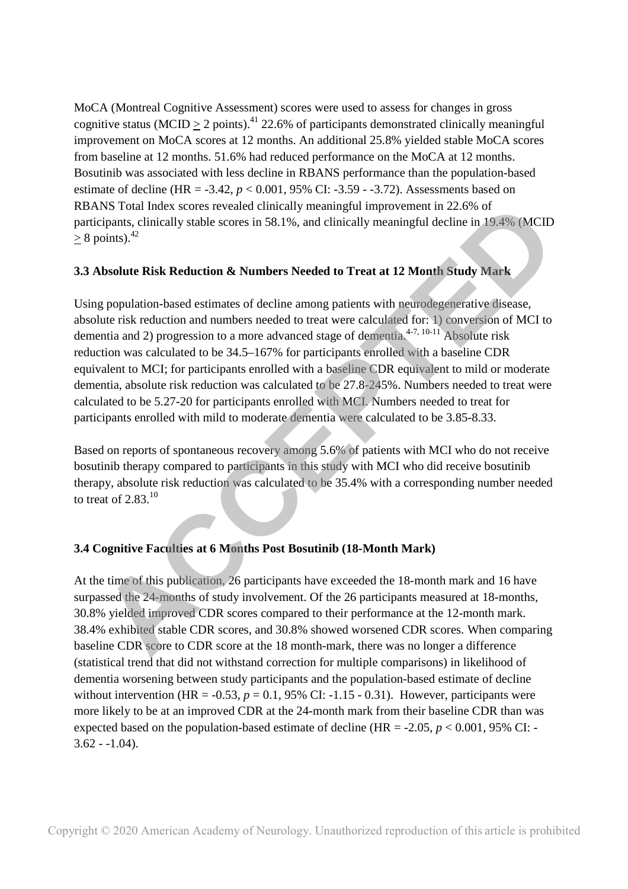MoCA (Montreal Cognitive Assessment) scores were used to assess for changes in gross cognitive status (MCID > 2 points).<sup>41</sup> 22.6% of participants demonstrated clinically meaningful improvement on MoCA scores at 12 months. An additional 25.8% yielded stable MoCA scores from baseline at 12 months. 51.6% had reduced performance on the MoCA at 12 months. Bosutinib was associated with less decline in RBANS performance than the population-based estimate of decline (HR =  $-3.42$ ,  $p < 0.001$ , 95% CI:  $-3.59 - 3.72$ ). Assessments based on RBANS Total Index scores revealed clinically meaningful improvement in 22.6% of participants, clinically stable scores in 58.1%, and clinically meaningful decline in 19.4% (MCID  $\geq$  8 points).<sup>42</sup>

## **3.3 Absolute Risk Reduction & Numbers Needed to Treat at 12 Month Study Mark**

Using population-based estimates of decline among patients with neurodegenerative disease, absolute risk reduction and numbers needed to treat were calculated for: 1) conversion of MCI to dementia and 2) progression to a more advanced stage of dementia.<sup>4-7, 10-11</sup> Absolute risk reduction was calculated to be 34.5–167% for participants enrolled with a baseline CDR equivalent to MCI; for participants enrolled with a baseline CDR equivalent to mild or moderate dementia, absolute risk reduction was calculated to be 27.8-245%. Numbers needed to treat were calculated to be 5.27-20 for participants enrolled with MCI. Numbers needed to treat for participants enrolled with mild to moderate dementia were calculated to be 3.85-8.33. **ANS Total Index scores revealed chirically meaningful improvement in 22.6% of<br>
cipants, cinically stable scores in 58.1%, and clinically meaningful decline in 19.4% (MCID<br>
cipants, cinically stable scores in 58.1%, and cl** 

Based on reports of spontaneous recovery among 5.6% of patients with MCI who do not receive bosutinib therapy compared to participants in this study with MCI who did receive bosutinib therapy, absolute risk reduction was calculated to be 35.4% with a corresponding number needed to treat of 2.83. $^{10}$ 

## **3.4 Cognitive Faculties at 6 Months Post Bosutinib (18-Month Mark)**

At the time of this publication, 26 participants have exceeded the 18-month mark and 16 have surpassed the 24-months of study involvement. Of the 26 participants measured at 18-months, 30.8% yielded improved CDR scores compared to their performance at the 12-month mark. 38.4% exhibited stable CDR scores, and 30.8% showed worsened CDR scores. When comparing baseline CDR score to CDR score at the 18 month-mark, there was no longer a difference (statistical trend that did not withstand correction for multiple comparisons) in likelihood of dementia worsening between study participants and the population-based estimate of decline without intervention (HR =  $-0.53$ ,  $p = 0.1$ , 95% CI:  $-1.15 - 0.31$ ). However, participants were more likely to be at an improved CDR at the 24-month mark from their baseline CDR than was expected based on the population-based estimate of decline (HR =  $-2.05$ ,  $p < 0.001$ , 95% CI: - $3.62 - 1.04$ .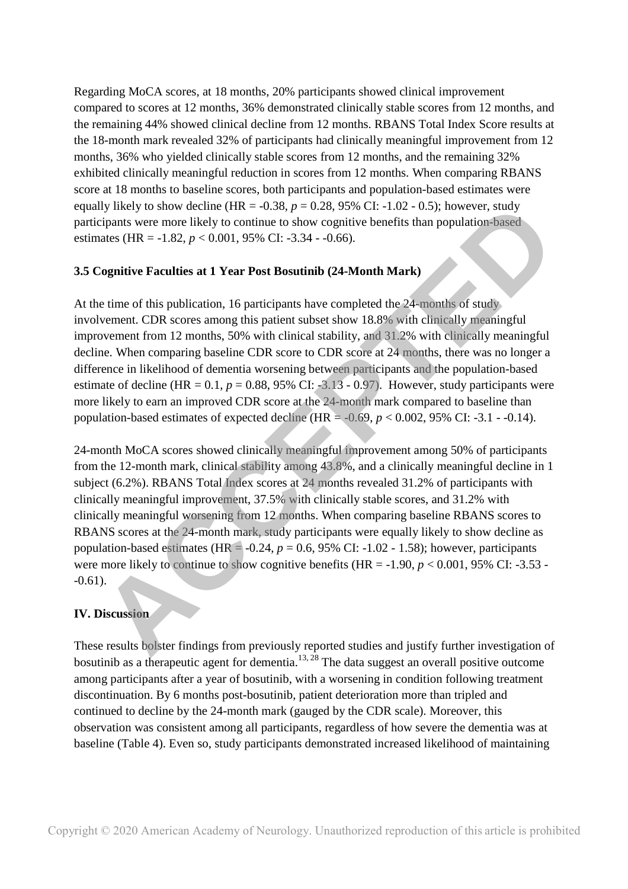Regarding MoCA scores, at 18 months, 20% participants showed clinical improvement compared to scores at 12 months, 36% demonstrated clinically stable scores from 12 months, and the remaining 44% showed clinical decline from 12 months. RBANS Total Index Score results at the 18-month mark revealed 32% of participants had clinically meaningful improvement from 12 months, 36% who yielded clinically stable scores from 12 months, and the remaining 32% exhibited clinically meaningful reduction in scores from 12 months. When comparing RBANS score at 18 months to baseline scores, both participants and population-based estimates were equally likely to show decline (HR =  $-0.38$ ,  $p = 0.28$ , 95% CI:  $-1.02 - 0.5$ ); however, study participants were more likely to continue to show cognitive benefits than population-based estimates (HR = -1.82, *p* < 0.001, 95% CI: -3.34 - -0.66).

## **3.5 Cognitive Faculties at 1 Year Post Bosutinib (24-Month Mark)**

At the time of this publication, 16 participants have completed the 24-months of study involvement. CDR scores among this patient subset show 18.8% with clinically meaningful improvement from 12 months, 50% with clinical stability, and 31.2% with clinically meaningful decline. When comparing baseline CDR score to CDR score at 24 months, there was no longer a difference in likelihood of dementia worsening between participants and the population-based estimate of decline (HR =  $0.1$ ,  $p = 0.88$ , 95% CI: -3.13 - 0.97). However, study participants were more likely to earn an improved CDR score at the 24-month mark compared to baseline than population-based estimates of expected decline (HR =  $-0.69$ ,  $p < 0.002$ , 95% CI:  $-3.1 - 0.14$ ).

24-month MoCA scores showed clinically meaningful improvement among 50% of participants from the 12-month mark, clinical stability among 43.8%, and a clinically meaningful decline in 1 subject (6.2%). RBANS Total Index scores at 24 months revealed 31.2% of participants with clinically meaningful improvement, 37.5% with clinically stable scores, and 31.2% with clinically meaningful worsening from 12 months. When comparing baseline RBANS scores to RBANS scores at the 24-month mark, study participants were equally likely to show decline as population-based estimates (HR =  $-0.24$ ,  $p = 0.6$ , 95% CI:  $-1.02 - 1.58$ ); however, participants were more likely to continue to show cognitive benefits ( $HR = -1.90$ ,  $p < 0.001$ , 95% CI:  $-3.53$  $-0.61$ ). Ily likely to show decline (HR  $-$  0.38,  $p = 0.28$ , 95% CF -1.02 - 0.5); however, study<br>cipants vere more likely to continue to show orgative benefits than population-based<br>nates (HR  $=$  -1.82,  $p$  < 0.001, 95% CF - 3.34

## **IV. Discussion**

These results bolster findings from previously reported studies and justify further investigation of bosutinib as a therapeutic agent for dementia.<sup>13, 28</sup> The data suggest an overall positive outcome among participants after a year of bosutinib, with a worsening in condition following treatment discontinuation. By 6 months post-bosutinib, patient deterioration more than tripled and continued to decline by the 24-month mark (gauged by the CDR scale). Moreover, this observation was consistent among all participants, regardless of how severe the dementia was at baseline (Table 4). Even so, study participants demonstrated increased likelihood of maintaining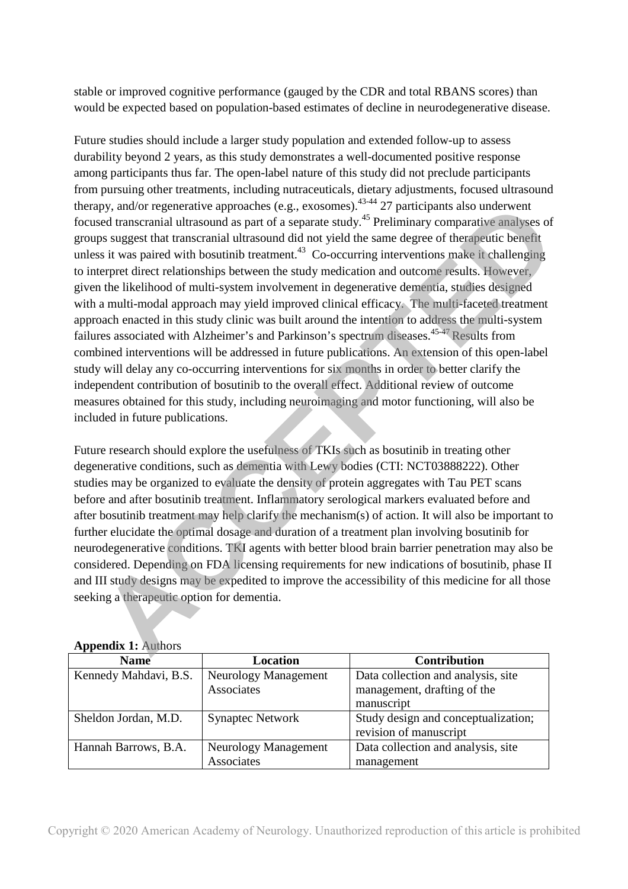stable or improved cognitive performance (gauged by the CDR and total RBANS scores) than would be expected based on population-based estimates of decline in neurodegenerative disease.

Future studies should include a larger study population and extended follow-up to assess durability beyond 2 years, as this study demonstrates a well-documented positive response among participants thus far. The open-label nature of this study did not preclude participants from pursuing other treatments, including nutraceuticals, dietary adjustments, focused ultrasound therapy, and/or regenerative approaches (e.g., exosomes).  $43-44$  27 participants also underwent focused transcranial ultrasound as part of a separate study.<sup>45</sup> Preliminary comparative analyses of groups suggest that transcranial ultrasound did not yield the same degree of therapeutic benefit unless it was paired with bosutinib treatment.<sup>43</sup> Co-occurring interventions make it challenging to interpret direct relationships between the study medication and outcome results. However, given the likelihood of multi-system involvement in degenerative dementia, studies designed with a multi-modal approach may yield improved clinical efficacy. The multi-faceted treatment approach enacted in this study clinic was built around the intention to address the multi-system failures associated with Alzheimer's and Parkinson's spectrum diseases.<sup>45-47</sup> Results from combined interventions will be addressed in future publications. An extension of this open-label study will delay any co-occurring interventions for six months in order to better clarify the independent contribution of bosutinib to the overall effect. Additional review of outcome measures obtained for this study, including neuroimaging and motor functioning, will also be included in future publications. py, and/or regenerative approaches (e.g., exosomes).<sup>43-44</sup> 27 participants also underwent<br>sed tunnscomial ultrasound as part of a separate study.<sup>45</sup> Preliminary comparative analyses of<br>so suggest that transcranial ultras

Future research should explore the usefulness of TKIs such as bosutinib in treating other degenerative conditions, such as dementia with Lewy bodies (CTI: NCT03888222). Other studies may be organized to evaluate the density of protein aggregates with Tau PET scans before and after bosutinib treatment. Inflammatory serological markers evaluated before and after bosutinib treatment may help clarify the mechanism(s) of action. It will also be important to further elucidate the optimal dosage and duration of a treatment plan involving bosutinib for neurodegenerative conditions. TKI agents with better blood brain barrier penetration may also be considered. Depending on FDA licensing requirements for new indications of bosutinib, phase II and III study designs may be expedited to improve the accessibility of this medicine for all those seeking a therapeutic option for dementia.

| $\bf{Appe}$ muix 1. $\bf{A}$ munois |                         |                                     |
|-------------------------------------|-------------------------|-------------------------------------|
| <b>Name</b>                         | Location                | <b>Contribution</b>                 |
| Kennedy Mahdavi, B.S.               | Neurology Management    | Data collection and analysis, site  |
|                                     | Associates              | management, drafting of the         |
|                                     |                         | manuscript                          |
| Sheldon Jordan, M.D.                | <b>Synaptec Network</b> | Study design and conceptualization; |
|                                     |                         | revision of manuscript              |
| Hannah Barrows, B.A.                | Neurology Management    | Data collection and analysis, site  |
|                                     | Associates              | management                          |

## **Appendix 1:** Authors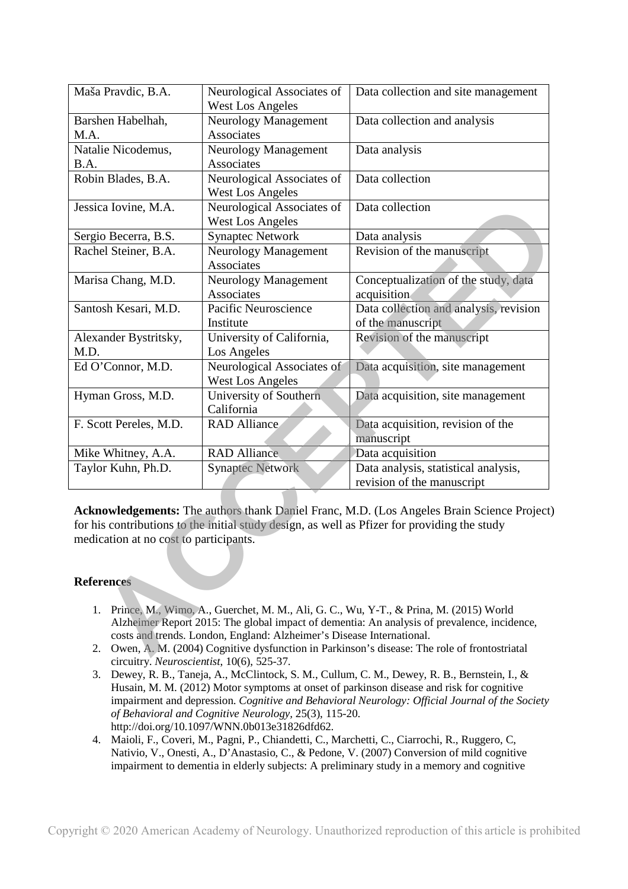| Maša Pravdic, B.A.                     | Neurological Associates of                                            | Data collection and site management                                                          |
|----------------------------------------|-----------------------------------------------------------------------|----------------------------------------------------------------------------------------------|
|                                        | <b>West Los Angeles</b>                                               |                                                                                              |
| Barshen Habelhah,                      | Neurology Management                                                  | Data collection and analysis                                                                 |
| M.A.                                   | Associates                                                            |                                                                                              |
| Natalie Nicodemus,                     | Neurology Management                                                  | Data analysis                                                                                |
| B.A.                                   | Associates                                                            |                                                                                              |
| Robin Blades, B.A.                     | Neurological Associates of                                            | Data collection                                                                              |
|                                        | <b>West Los Angeles</b>                                               |                                                                                              |
| Jessica Iovine, M.A.                   | Neurological Associates of                                            | Data collection                                                                              |
|                                        | <b>West Los Angeles</b>                                               |                                                                                              |
| Sergio Becerra, B.S.                   | <b>Synaptec Network</b>                                               | Data analysis                                                                                |
| Rachel Steiner, B.A.                   | Neurology Management                                                  | Revision of the manuscript                                                                   |
|                                        | Associates                                                            |                                                                                              |
| Marisa Chang, M.D.                     | Neurology Management                                                  | Conceptualization of the study, data                                                         |
|                                        | Associates                                                            | acquisition                                                                                  |
| Santosh Kesari, M.D.                   | Pacific Neuroscience                                                  | Data collection and analysis, revision                                                       |
|                                        | Institute                                                             | of the manuscript                                                                            |
| Alexander Bystritsky,                  | University of California,                                             | Revision of the manuscript                                                                   |
| M.D.                                   | Los Angeles                                                           |                                                                                              |
| Ed O'Connor, M.D.                      | Neurological Associates of                                            | Data acquisition, site management                                                            |
|                                        | <b>West Los Angeles</b>                                               |                                                                                              |
| Hyman Gross, M.D.                      | University of Southern                                                | Data acquisition, site management                                                            |
|                                        | California                                                            |                                                                                              |
| F. Scott Pereles, M.D.                 | <b>RAD Alliance</b>                                                   | Data acquisition, revision of the                                                            |
|                                        |                                                                       | manuscript                                                                                   |
| Mike Whitney, A.A.                     | <b>RAD Alliance</b>                                                   | Data acquisition                                                                             |
| Taylor Kuhn, Ph.D.                     | <b>Synaptec Network</b>                                               | Data analysis, statistical analysis,                                                         |
|                                        |                                                                       | revision of the manuscript                                                                   |
|                                        |                                                                       |                                                                                              |
|                                        |                                                                       | Acknowledgements: The authors thank Daniel Franc, M.D. (Los Angeles Brain Science Project)   |
|                                        |                                                                       | for his contributions to the initial study design, as well as Pfizer for providing the study |
| medication at no cost to participants. |                                                                       |                                                                                              |
|                                        |                                                                       |                                                                                              |
|                                        |                                                                       |                                                                                              |
| <b>References</b>                      |                                                                       |                                                                                              |
|                                        |                                                                       |                                                                                              |
|                                        |                                                                       | 1. Prince, M., Wimo, A., Guerchet, M. M., Ali, G. C., Wu, Y-T., & Prina, M. (2015) World     |
|                                        |                                                                       | Alzheimer Report 2015: The global impact of dementia: An analysis of prevalence, incidence,  |
|                                        | costs and trends. London, England: Alzheimer's Disease International. |                                                                                              |
| 2.                                     |                                                                       | Owen, A. M. (2004) Cognitive dysfunction in Parkinson's disease: The role of frontostriatal  |

## **References**

- 1. Prince, M., Wimo, A., Guerchet, M. M., Ali, G. C., Wu, Y-T., & Prina, M. (2015) World Alzheimer Report 2015: The global impact of dementia: An analysis of prevalence, incidence, costs and trends. London, England: Alzheimer's Disease International.
- 2. Owen, A. M. (2004) Cognitive dysfunction in Parkinson's disease: The role of frontostriatal circuitry. *Neuroscientist*, 10(6), 525-37.
- 3. Dewey, R. B., Taneja, A., McClintock, S. M., Cullum, C. M., Dewey, R. B., Bernstein, I., & Husain, M. M. (2012) Motor symptoms at onset of parkinson disease and risk for cognitive impairment and depression. *Cognitive and Behavioral Neurology: Official Journal of the Society of Behavioral and Cognitive Neurology,* 25(3), 115-20. http://doi.org/10.1097/WNN.0b013e31826dfd62.
- 4. Maioli, F., Coveri, M., Pagni, P., Chiandetti, C., Marchetti, C., Ciarrochi, R., Ruggero, C, Nativio, V., Onesti, A., D'Anastasio, C., & Pedone, V. (2007) Conversion of mild cognitive impairment to dementia in elderly subjects: A preliminary study in a memory and cognitive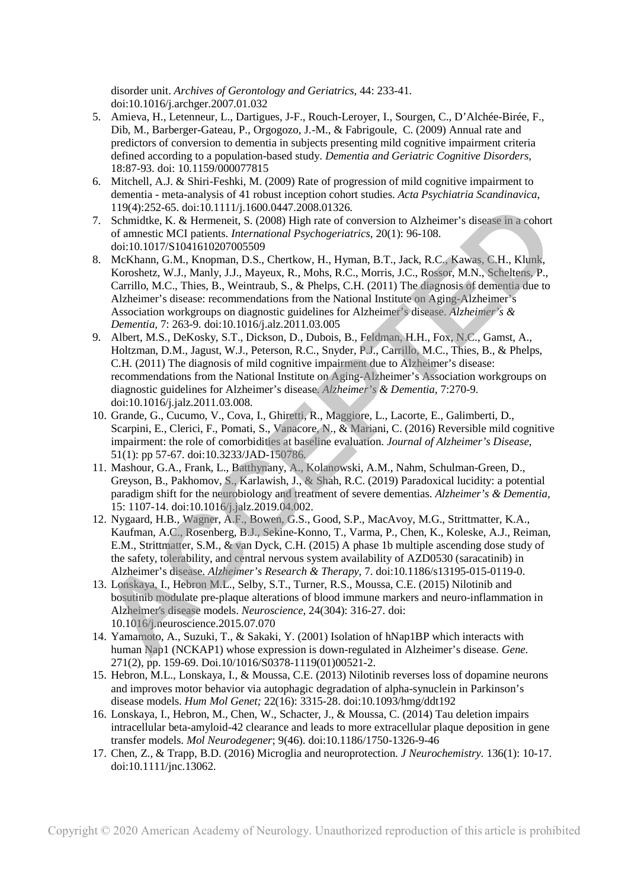disorder unit. *Archives of Gerontology and Geriatrics*, 44: 233-41. doi:10.1016/j.archger.2007.01.032

- 5. Amieva, H., Letenneur, L., Dartigues, J-F., Rouch-Leroyer, I., Sourgen, C., D'Alchée-Birée, F., Dib, M., Barberger-Gateau, P., Orgogozo, J.-M., & Fabrigoule, C. (2009) Annual rate and predictors of conversion to dementia in subjects presenting mild cognitive impairment criteria defined according to a population-based study. *Dementia and Geriatric Cognitive Disorders*, 18:87-93. doi: 10.1159/000077815
- 6. Mitchell, A.J. & Shiri-Feshki, M. (2009) Rate of progression of mild cognitive impairment to dementia - meta-analysis of 41 robust inception cohort studies. *Acta Psychiatria Scandinavica*, 119(4):252-65. doi:10.1111/j.1600.0447.2008.01326.
- 7. Schmidtke, K. & Hermeneit, S. (2008) High rate of conversion to Alzheimer's disease in a cohort of amnestic MCI patients. *International Psychogeriatrics*, 20(1): 96-108. doi:10.1017/S1041610207005509
- 8. McKhann, G.M., Knopman, D.S., Chertkow, H., Hyman, B.T., Jack, R.C., Kawas, C.H., Klunk, Koroshetz, W.J., Manly, J.J., Mayeux, R., Mohs, R.C., Morris, J.C., Rossor, M.N., Scheltens, P., Carrillo, M.C., Thies, B., Weintraub, S., & Phelps, C.H. (2011) The diagnosis of dementia due to Alzheimer's disease: recommendations from the National Institute on Aging-Alzheimer's Association workgroups on diagnostic guidelines for Alzheimer's disease. *Alzheimer's & Dementia,* 7: 263-9. doi:10.1016/j.alz.2011.03.005 119(4):2252-63, doi:10.11117,160004472.008013220<br>
Accelement of Alzheimer's disease in a cohort of annualis Accelement of Convertion to Alzheimer's disease in a cohort of annualis ACC homes. MeXham GaM, Reform and the stat
- 9. Albert, M.S., DeKosky, S.T., Dickson, D., Dubois, B., Feldman, H.H., Fox, N.C., Gamst, A., Holtzman, D.M., Jagust, W.J., Peterson, R.C., Snyder, P.J., Carrillo, M.C., Thies, B., & Phelps, C.H. (2011) The diagnosis of mild cognitive impairment due to Alzheimer's disease: recommendations from the National Institute on Aging-Alzheimer's Association workgroups on diagnostic guidelines for Alzheimer's disease. *Alzheimer's & Dementia,* 7:270-9. doi:10.1016/j.jalz.2011.03.008.
- 10. Grande, G., Cucumo, V., Cova, I., Ghiretti, R., Maggiore, L., Lacorte, E., Galimberti, D., Scarpini, E., Clerici, F., Pomati, S., Vanacore, N., & Mariani, C. (2016) Reversible mild cognitive impairment: the role of comorbidities at baseline evaluation. *Journal of Alzheimer's Disease*, 51(1): pp 57-67. doi:10.3233/JAD-150786.
- 11. Mashour, G.A., Frank, L., Batthynany, A., Kolanowski, A.M., Nahm, Schulman-Green, D., Greyson, B., Pakhomov, S., Karlawish, J., & Shah, R.C. (2019) Paradoxical lucidity: a potential paradigm shift for the neurobiology and treatment of severe dementias. *Alzheimer's & Dementia,*  15: 1107-14. doi:10.1016/j.jalz.2019.04.002.
- 12. Nygaard, H.B., Wagner, A.F., Bowen, G.S., Good, S.P., MacAvoy, M.G., Strittmatter, K.A., Kaufman, A.C., Rosenberg, B.J., Sekine-Konno, T., Varma, P., Chen, K., Koleske, A.J., Reiman, E.M., Strittmatter, S.M., & van Dyck, C.H. (2015) A phase 1b multiple ascending dose study of the safety, tolerability, and central nervous system availability of AZD0530 (saracatinib) in Alzheimer's disease. *Alzheimer's Research & Therapy*, 7. doi:10.1186/s13195-015-0119-0.
- 13. Lonskaya, I., Hebron M.L., Selby, S.T., Turner, R.S., Moussa, C.E. (2015) Nilotinib and bosutinib modulate pre-plaque alterations of blood immune markers and neuro-inflammation in Alzheimer's disease models. *Neuroscience,* 24(304): 316-27. doi: 10.1016/j.neuroscience.2015.07.070
- 14. Yamamoto, A., Suzuki, T., & Sakaki, Y. (2001) Isolation of hNap1BP which interacts with human Nap1 (NCKAP1) whose expression is down-regulated in Alzheimer's disease. *Gene*. 271(2), pp. 159-69. Doi.10/1016/S0378-1119(01)00521-2.
- 15. Hebron, M.L., Lonskaya, I., & Moussa, C.E. (2013) Nilotinib reverses loss of dopamine neurons and improves motor behavior via autophagic degradation of alpha-synuclein in Parkinson's disease models. *Hum Mol Genet;* 22(16): 3315-28. doi:10.1093/hmg/ddt192
- 16. Lonskaya, I., Hebron, M., Chen, W., Schacter, J., & Moussa, C. (2014) Tau deletion impairs intracellular beta-amyloid-42 clearance and leads to more extracellular plaque deposition in gene transfer models. *Mol Neurodegener*; 9(46). doi:10.1186/1750-1326-9-46
- 17. Chen, Z., & Trapp, B.D. (2016) Microglia and neuroprotection. *J Neurochemistry*. 136(1): 10-17. doi:10.1111/jnc.13062.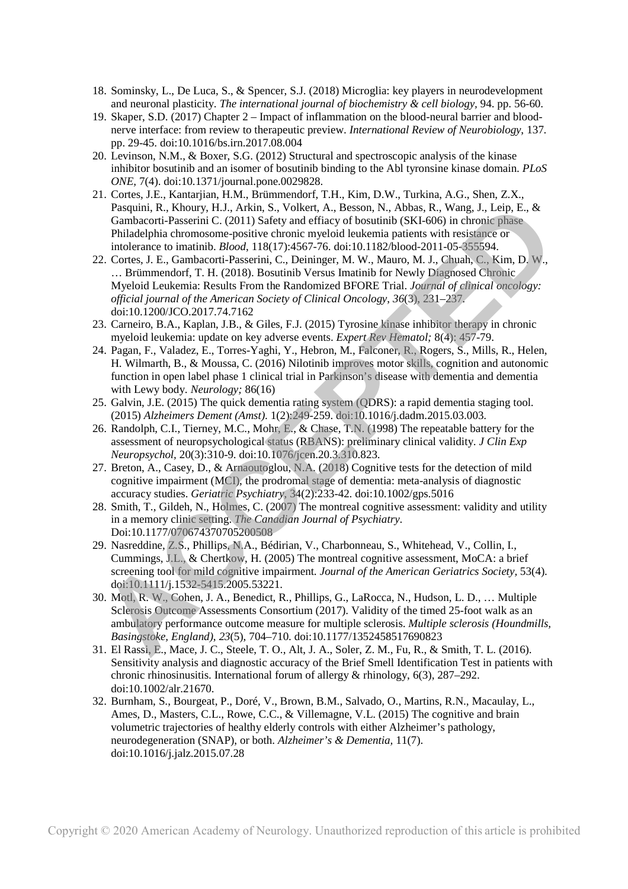- 18. Sominsky, L., De Luca, S., & Spencer, S.J. (2018) Microglia: key players in neurodevelopment and neuronal plasticity. *The international journal of biochemistry & cell biology,* 94. pp. 56-60.
- 19. Skaper, S.D. (2017) Chapter 2 Impact of inflammation on the blood-neural barrier and bloodnerve interface: from review to therapeutic preview. *International Review of Neurobiology*, 137. pp. 29-45. doi:10.1016/bs.irn.2017.08.004
- 20. Levinson, N.M., & Boxer, S.G. (2012) Structural and spectroscopic analysis of the kinase inhibitor bosutinib and an isomer of bosutinib binding to the Abl tyronsine kinase domain. *PLoS ONE,* 7(4). doi:10.1371/journal.pone.0029828.
- 21. Cortes, J.E., Kantarjian, H.M., Brümmendorf, T.H., Kim, D.W., Turkina, A.G., Shen, Z.X., Pasquini, R., Khoury, H.J., Arkin, S., Volkert, A., Besson, N., Abbas, R., Wang, J., Leip, E., & Gambacorti-Passerini C. (2011) Safety and effiacy of bosutinib (SKI-606) in chronic phase Philadelphia chromosome-positive chronic myeloid leukemia patients with resistance or intolerance to imatinib. *Blood*, 118(17):4567-76. doi:10.1182/blood-2011-05-355594.
- 22. Cortes, J. E., Gambacorti-Passerini, C., Deininger, M. W., Mauro, M. J., Chuah, C., Kim, D. W., … Brümmendorf, T. H. (2018). Bosutinib Versus Imatinib for Newly Diagnosed Chronic Myeloid Leukemia: Results From the Randomized BFORE Trial. *Journal of clinical oncology: official journal of the American Society of Clinical Oncology*, *36*(3), 231–237. doi:10.1200/JCO.2017.74.7162 Passpiri, R. Khoury, H.J., Athin, S., Voluert, A. Besson, N., Abbas, R., Wang, N. Horstein<br>
Gambacorii-Passerini C. (2011) Safety and effice of bosuinib (SKL-606) in chronic phase<br>
Philadelphia chromosone-positive chronic
- 23. Carneiro, B.A., Kaplan, J.B., & Giles, F.J. (2015) Tyrosine kinase inhibitor therapy in chronic myeloid leukemia: update on key adverse events. *Expert Rev Hematol;* 8(4): 457-79.
- 24. Pagan, F., Valadez, E., Torres-Yaghi, Y., Hebron, M., Falconer, R., Rogers, S., Mills, R., Helen, H. Wilmarth, B., & Moussa, C. (2016) Nilotinib improves motor skills, cognition and autonomic function in open label phase 1 clinical trial in Parkinson's disease with dementia and dementia with Lewy body. *Neurology;* 86(16)
- 25. Galvin, J.E. (2015) The quick dementia rating system (QDRS): a rapid dementia staging tool. (2015) *Alzheimers Dement (Amst)*. 1(2):249-259. doi:10.1016/j.dadm.2015.03.003.
- 26. Randolph, C.I., Tierney, M.C., Mohr, E., & Chase, T.N. (1998) The repeatable battery for the assessment of neuropsychological status (RBANS): preliminary clinical validity. *J Clin Exp Neuropsychol,* 20(3):310-9. doi:10.1076/jcen.20.3.310.823.
- 27. Breton, A., Casey, D., & Arnaoutoglou, N.A. (2018) Cognitive tests for the detection of mild cognitive impairment (MCI), the prodromal stage of dementia: meta-analysis of diagnostic accuracy studies. *Geriatric Psychiatry*, 34(2):233-42. doi:10.1002/gps.5016
- 28. Smith, T., Gildeh, N., Holmes, C. (2007) The montreal cognitive assessment: validity and utility in a memory clinic setting. *The Canadian Journal of Psychiatry*. Doi:10.1177/070674370705200508
- 29. Nasreddine, Z.S., Phillips, N.A., Bédirian, V., Charbonneau, S., Whitehead, V., Collin, I., Cummings, J.L., & Chertkow, H. (2005) The montreal cognitive assessment, MoCA: a brief screening tool for mild cognitive impairment. *Journal of the American Geriatrics Society,* 53(4). doi:10.1111/j.1532-5415.2005.53221.
- 30. Motl, R. W., Cohen, J. A., Benedict, R., Phillips, G., LaRocca, N., Hudson, L. D., … Multiple Sclerosis Outcome Assessments Consortium (2017). Validity of the timed 25-foot walk as an ambulatory performance outcome measure for multiple sclerosis. *Multiple sclerosis (Houndmills, Basingstoke, England)*, *23*(5), 704–710. doi:10.1177/1352458517690823
- 31. El Rassi, E., Mace, J. C., Steele, T. O., Alt, J. A., Soler, Z. M., Fu, R., & Smith, T. L. (2016). Sensitivity analysis and diagnostic accuracy of the Brief Smell Identification Test in patients with chronic rhinosinusitis. International forum of allergy & rhinology, 6(3), 287–292. doi:10.1002/alr.21670.
- 32. Burnham, S., Bourgeat, P., Doré, V., Brown, B.M., Salvado, O., Martins, R.N., Macaulay, L., Ames, D., Masters, C.L., Rowe, C.C., & Villemagne, V.L. (2015) The cognitive and brain volumetric trajectories of healthy elderly controls with either Alzheimer's pathology, neurodegeneration (SNAP), or both. *Alzheimer's & Dementia,* 11(7). doi:10.1016/j.jalz.2015.07.28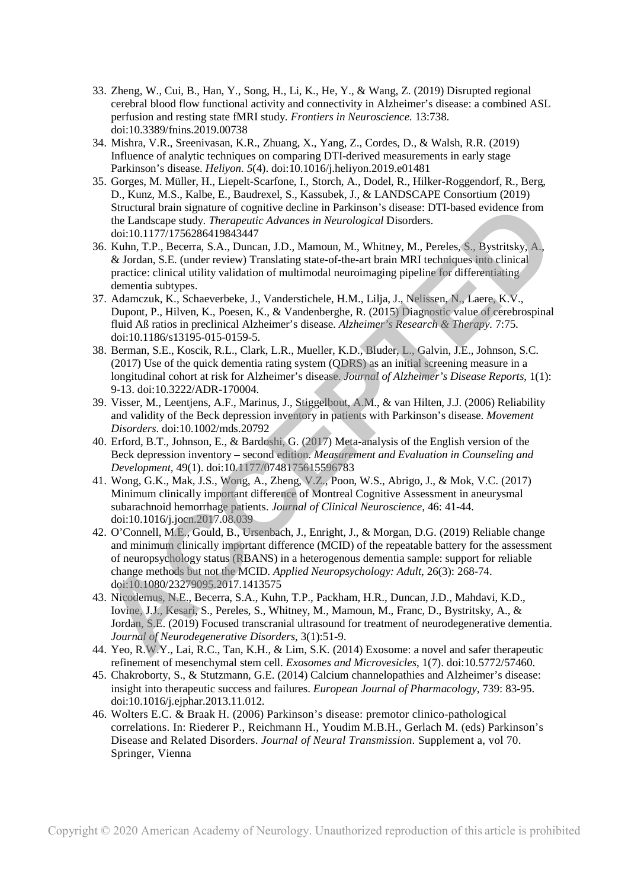- 33. Zheng, W., Cui, B., Han, Y., Song, H., Li, K., He, Y., & Wang, Z. (2019) Disrupted regional cerebral blood flow functional activity and connectivity in Alzheimer's disease: a combined ASL perfusion and resting state fMRI study. *Frontiers in Neuroscience*. 13:738. doi:10.3389/fnins.2019.00738
- 34. Mishra, V.R., Sreenivasan, K.R., Zhuang, X., Yang, Z., Cordes, D., & Walsh, R.R. (2019) Influence of analytic techniques on comparing DTI-derived measurements in early stage Parkinson's disease. *Heliyon*. *5*(4). doi:10.1016/j.heliyon.2019.e01481
- 35. Gorges, M. Müller, H., Liepelt-Scarfone, I., Storch, A., Dodel, R., Hilker-Roggendorf, R., Berg, D., Kunz, M.S., Kalbe, E., Baudrexel, S., Kassubek, J., & LANDSCAPE Consortium (2019) Structural brain signature of cognitive decline in Parkinson's disease: DTI-based evidence from the Landscape study. *Therapeutic Advances in Neurological* Disorders. doi:10.1177/1756286419843447
- 36. Kuhn, T.P., Becerra, S.A., Duncan, J.D., Mamoun, M., Whitney, M., Pereles, S., Bystritsky, A., & Jordan, S.E. (under review) Translating state-of-the-art brain MRI techniques into clinical practice: clinical utility validation of multimodal neuroimaging pipeline for differentiating dementia subtypes.
- 37. Adamczuk, K., Schaeverbeke, J., Vanderstichele, H.M., Lilja, J., Nelissen, N., Laere, K.V., Dupont, P., Hilven, K., Poesen, K., & Vandenberghe, R. (2015) Diagnostic value of cerebrospinal fluid Aß ratios in preclinical Alzheimer's disease. *Alzheimer's Research & Therapy.* 7:75. doi:10.1186/s13195-015-0159-5.
- 38. Berman, S.E., Koscik, R.L., Clark, L.R., Mueller, K.D., Bluder, L., Galvin, J.E., Johnson, S.C. (2017) Use of the quick dementia rating system (QDRS) as an initial screening measure in a longitudinal cohort at risk for Alzheimer's disease. *Journal of Alzheimer's Disease Reports*, 1(1): 9-13. doi:10.3222/ADR-170004.
- 39. Visser, M., Leentjens, A.F., Marinus, J., Stiggelbout, A.M., & van Hilten, J.J. (2006) Reliability and validity of the Beck depression inventory in patients with Parkinson's disease. *Movement Disorders*. doi:10.1002/mds.20792
- 40. Erford, B.T., Johnson, E., & Bardoshi, G. (2017) Meta-analysis of the English version of the Beck depression inventory – second edition. *Measurement and Evaluation in Counseling and Development*, 49(1). doi:10.1177/0748175615596783
- 41. Wong, G.K., Mak, J.S., Wong, A., Zheng, V.Z., Poon, W.S., Abrigo, J., & Mok, V.C. (2017) Minimum clinically important difference of Montreal Cognitive Assessment in aneurysmal subarachnoid hemorrhage patients. *Journal of Clinical Neuroscience,* 46: 41-44. doi:10.1016/j.jocn.2017.08.039
- 42. O'Connell, M.E., Gould, B., Ursenbach, J., Enright, J., & Morgan, D.G. (2019) Reliable change and minimum clinically important difference (MCID) of the repeatable battery for the assessment of neuropsychology status (RBANS) in a heterogenous dementia sample: support for reliable change methods but not the MCID. *Applied Neuropsychology: Adult*, 26(3): 268-74. doi:10.1080/23279095.2017.1413575 Structural brain signature of cognitive declines in Parkinson's disease. DTI-based evidence from<br>the Landscape study. *Theoregiae* deduces in Neurological Diserders.<br>
doi:10.1177/17562866119843447<br>
6. Kund, 11-P. Beserra,
- 43. Nicodemus, N.E., Becerra, S.A., Kuhn, T.P., Packham, H.R., Duncan, J.D., Mahdavi, K.D., Iovine, J.J., Kesari, S., Pereles, S., Whitney, M., Mamoun, M., Franc, D., Bystritsky, A., & Jordan, S.E. (2019) Focused transcranial ultrasound for treatment of neurodegenerative dementia. *Journal of Neurodegenerative Disorders*, 3(1):51-9.
- 44. Yeo, R.W.Y., Lai, R.C., Tan, K.H., & Lim, S.K. (2014) Exosome: a novel and safer therapeutic refinement of mesenchymal stem cell. *Exosomes and Microvesicles*, 1(7). doi:10.5772/57460.
- 45. Chakroborty, S., & Stutzmann, G.E. (2014) Calcium channelopathies and Alzheimer's disease: insight into therapeutic success and failures. *European Journal of Pharmacology*, 739: 83-95. doi:10.1016/j.ejphar.2013.11.012.
- 46. Wolters E.C. & Braak H. (2006) Parkinson's disease: premotor clinico-pathological correlations. In: Riederer P., Reichmann H., Youdim M.B.H., Gerlach M. (eds) Parkinson's Disease and Related Disorders. *Journal of Neural Transmission*. Supplement a, vol 70. Springer, Vienna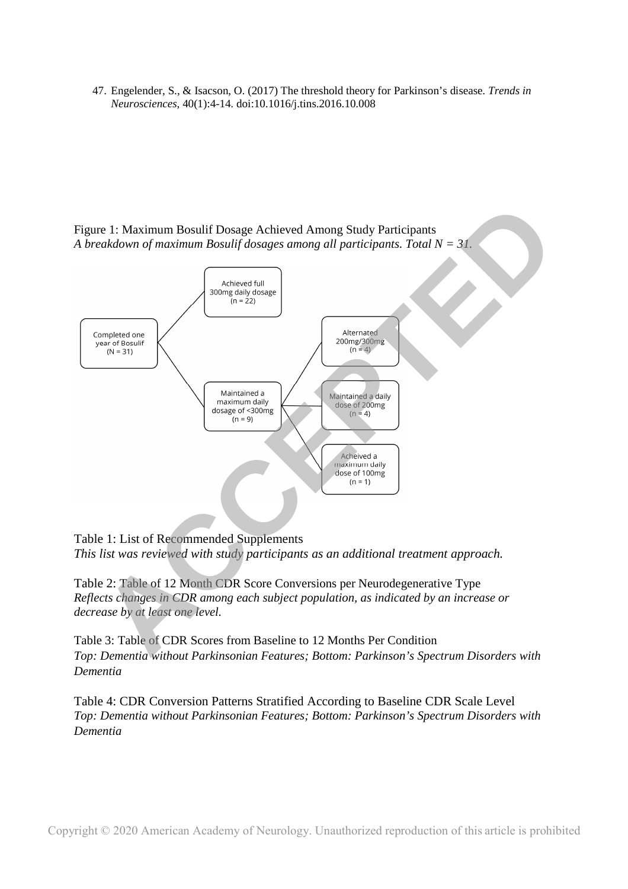47. Engelender, S., & Isacson, O. (2017) The threshold theory for Parkinson's disease. *Trends in Neurosciences*, 40(1):4-14. doi:10.1016/j.tins.2016.10.008



Table 1: List of Recommended Supplements *This list was reviewed with study participants as an additional treatment approach.* 

Table 2: Table of 12 Month CDR Score Conversions per Neurodegenerative Type *Reflects changes in CDR among each subject population, as indicated by an increase or decrease by at least one level.* 

Table 3: Table of CDR Scores from Baseline to 12 Months Per Condition *Top: Dementia without Parkinsonian Features; Bottom: Parkinson's Spectrum Disorders with Dementia* 

Table 4: CDR Conversion Patterns Stratified According to Baseline CDR Scale Level *Top: Dementia without Parkinsonian Features; Bottom: Parkinson's Spectrum Disorders with Dementia*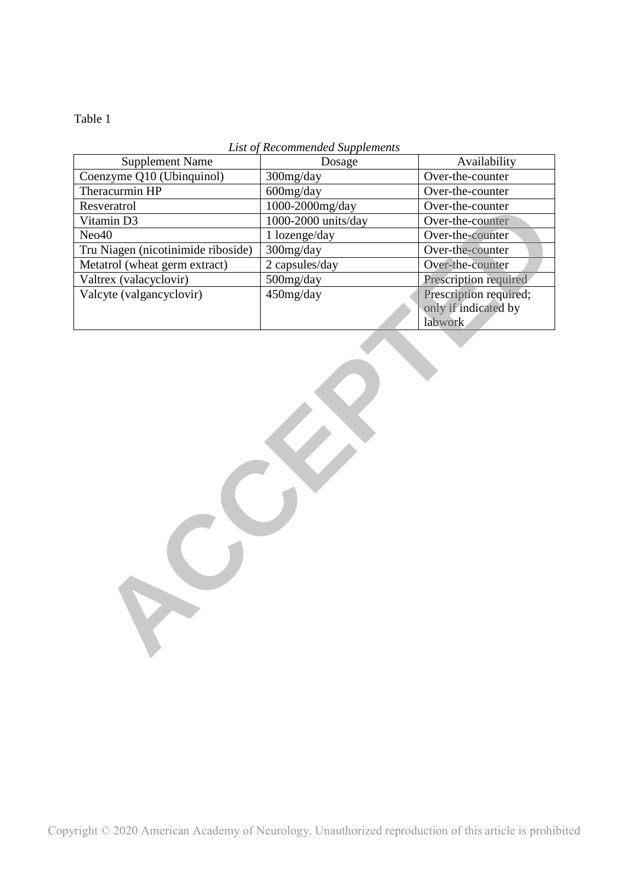## *List of Recommended Supplements*

| <b>Supplement Name</b>             | Dosage              | Availability           |
|------------------------------------|---------------------|------------------------|
| Coenzyme Q10 (Ubinquinol)          | 300mg/day           | Over-the-counter       |
| Theracurmin HP                     | 600mg/day           | Over-the-counter       |
| Resveratrol                        | 1000-2000mg/day     | Over-the-counter       |
| Vitamin D3                         | 1000-2000 units/day | Over-the-counter       |
| Neo40                              | 1 lozenge/day       | Over-the-counter       |
| Tru Niagen (nicotinimide riboside) | 300mg/day           | Over-the-counter       |
| Metatrol (wheat germ extract)      | 2 capsules/day      | Over-the-counter       |
| Valtrex (valacyclovir)             | 500mg/day           | Prescription required  |
| Valcyte (valgancyclovir)           | $450$ mg/day        | Prescription required; |
|                                    |                     | only if indicated by   |
|                                    |                     | labwork                |
|                                    |                     |                        |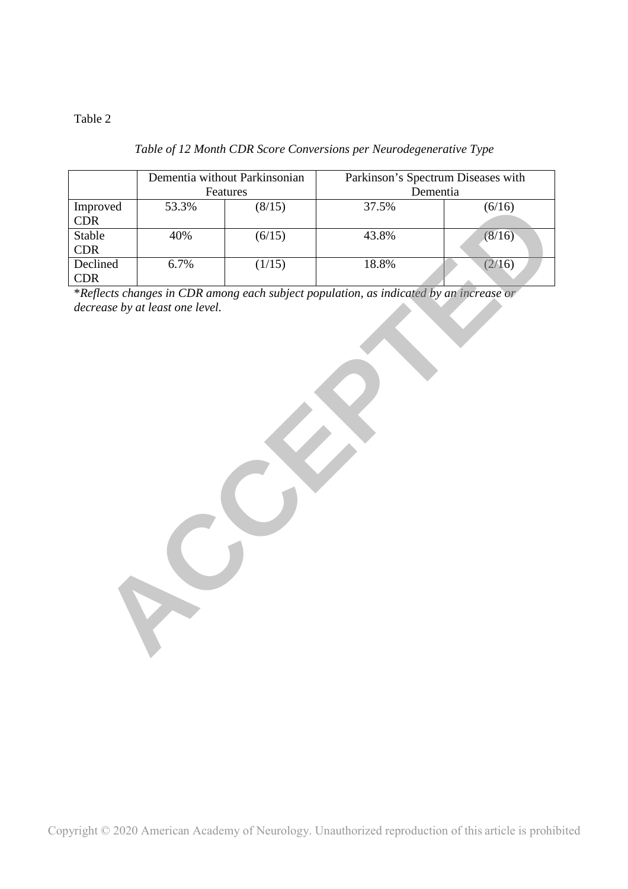## *Table of 12 Month CDR Score Conversions per Neurodegenerative Type*

|          | Dementia without Parkinsonian   |                 | Parkinson's Spectrum Diseases with                                                     |          |  |
|----------|---------------------------------|-----------------|----------------------------------------------------------------------------------------|----------|--|
|          | Features                        |                 |                                                                                        | Dementia |  |
| Improved | 53.3%                           | (8/15)          | 37.5%                                                                                  | (6/16)   |  |
| CDR      |                                 |                 |                                                                                        |          |  |
| Stable   | 40%                             | $\sqrt{(6/15)}$ | 43.8%                                                                                  | (8/16)   |  |
| CDR      |                                 |                 |                                                                                        |          |  |
| Declined | 6.7%                            | (1/15)          | 18.8%                                                                                  | (2/16)   |  |
| CDR      |                                 |                 |                                                                                        |          |  |
|          |                                 |                 | *Reflects changes in CDR among each subject population, as indicated by an increase or |          |  |
|          | decrease by at least one level. |                 |                                                                                        |          |  |
|          |                                 |                 |                                                                                        |          |  |
|          |                                 |                 |                                                                                        |          |  |
|          |                                 |                 |                                                                                        |          |  |
|          |                                 |                 |                                                                                        |          |  |
|          |                                 |                 |                                                                                        |          |  |
|          |                                 |                 |                                                                                        |          |  |
|          |                                 |                 |                                                                                        |          |  |
|          |                                 |                 |                                                                                        |          |  |
|          |                                 |                 |                                                                                        |          |  |
|          |                                 |                 |                                                                                        |          |  |
|          |                                 |                 |                                                                                        |          |  |
|          |                                 |                 |                                                                                        |          |  |
|          |                                 |                 |                                                                                        |          |  |
|          |                                 |                 |                                                                                        |          |  |
|          |                                 |                 |                                                                                        |          |  |
|          |                                 |                 |                                                                                        |          |  |
|          |                                 |                 |                                                                                        |          |  |
|          |                                 |                 |                                                                                        |          |  |
|          |                                 |                 |                                                                                        |          |  |
|          |                                 |                 |                                                                                        |          |  |
|          |                                 |                 |                                                                                        |          |  |
|          |                                 |                 |                                                                                        |          |  |
|          |                                 |                 |                                                                                        |          |  |
|          |                                 |                 |                                                                                        |          |  |
|          |                                 |                 |                                                                                        |          |  |
|          |                                 |                 |                                                                                        |          |  |
|          |                                 |                 |                                                                                        |          |  |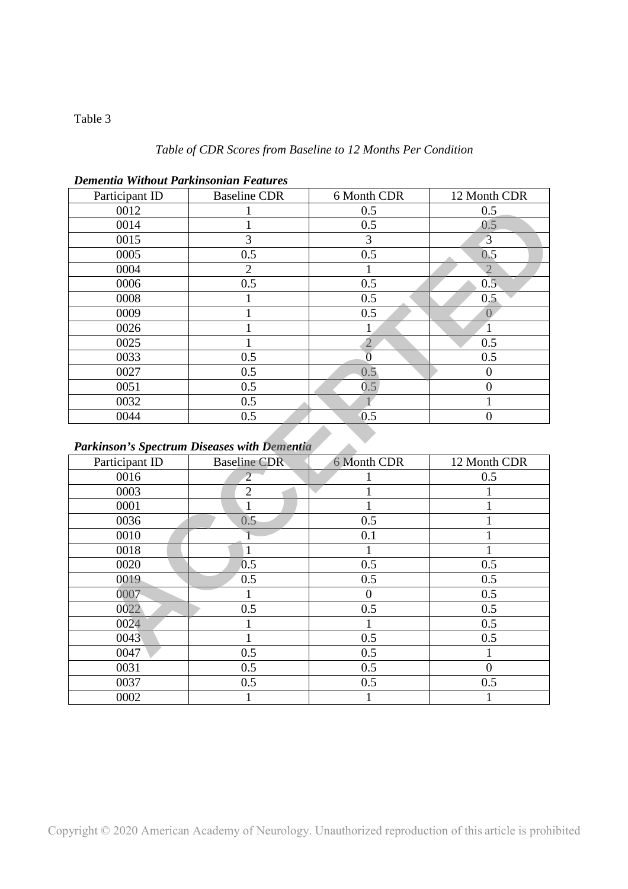## *Table of CDR Scores from Baseline to 12 Months Per Condition*

| Participant ID | <b>Baseline CDR</b> | 6 Month CDR    | 12 Month CDR     |
|----------------|---------------------|----------------|------------------|
| 0012           |                     | 0.5            | 0.5              |
| 0014           |                     | 0.5            | 0.5              |
| 0015           | 3                   | 3              | 3                |
| 0005           | 0.5                 | 0.5            | 0.5              |
| 0004           | 2                   |                | $\overline{2}$   |
| 0006           | 0.5                 | 0.5            | 0.5              |
| 0008           |                     | 0.5            | 0.5              |
| 0009           |                     | 0.5            | $\left( \right)$ |
| 0026           |                     |                |                  |
| 0025           |                     | $\overline{2}$ | 0.5              |
| 0033           | 0.5                 | $\overline{0}$ | 0.5              |
| 0027           | 0.5                 | 0.5            | 0                |
| 0051           | 0.5                 | 0.5            | 0                |
| 0032           | 0.5                 |                |                  |
| 0044           | 0.5                 | 0.5            | $\Omega$         |

## *Parkinson's Spectrum Diseases with Dementia*

| $\ldots$       |                                                                    |                    |                  |
|----------------|--------------------------------------------------------------------|--------------------|------------------|
| 0012           | 1                                                                  | 0.5                | 0.5              |
| 0014           | $\mathbf 1$                                                        | 0.5                | 0.5              |
| 0015           | $\overline{3}$                                                     | $\overline{3}$     | $\overline{3}$   |
| 0005           | 0.5                                                                | 0.5                | 0.5              |
| 0004           | $\overline{2}$                                                     | $\mathbf{1}$       | $\overline{2}$   |
| 0006           | 0.5                                                                | 0.5                | 0.5              |
| 0008           | $\mathbf 1$                                                        | 0.5                | 0.5              |
| 0009           | $\mathbf 1$                                                        | 0.5                | $\overline{0}$   |
| 0026           | $\mathbf 1$                                                        | $\mathbf{1}$       | $\overline{1}$   |
| 0025           | $\mathbf{1}$                                                       | $\overline{2}$     | 0.5              |
| 0033           | 0.5                                                                | $\overline{0}$     | 0.5              |
| 0027           | 0.5                                                                | 0.5                | $\overline{0}$   |
| 0051           | 0.5                                                                | 0.5                | $\overline{0}$   |
| 0032           | 0.5                                                                | $\overline{1}$     | $\mathbf{1}$     |
| 0044           | 0.5                                                                | 0.5                | $\boldsymbol{0}$ |
| Participant ID | Parkinson's Spectrum Diseases with Dementia<br><b>Baseline CDR</b> | <b>6 Month CDR</b> | 12 Month CDR     |
| 0016           | $\overline{2}$                                                     | 1                  | 0.5              |
| 0003           | $\overline{2}$                                                     | $\mathbf{1}$       | 1                |
| 0001           | $\overline{1}$                                                     | $\mathbf{1}$       | 1                |
| 0036           | 0.5                                                                | 0.5                |                  |
| 0010           | $\mathbf{1}$                                                       | 0.1                | 1                |
| 0018           | $\overline{1}$                                                     | $\mathbf{1}$       |                  |
| 0020           | 0.5                                                                | 0.5                | $\overline{0.5}$ |
| 0019           | 0.5                                                                | 0.5                | 0.5              |
| 0007           | $\mathbf{1}$                                                       | $\overline{0}$     | 0.5              |
| 0022           | 0.5                                                                | 0.5                | 0.5              |
| 0024           | $\mathbf{1}$                                                       | $\mathbf{1}$       | 0.5              |
|                |                                                                    |                    |                  |
| 0043           | $\mathbf{1}$                                                       | 0.5                | $\overline{0.5}$ |
| 0047           | 0.5                                                                | 0.5                | $\mathbf{1}$     |
| 0031           | 0.5                                                                | 0.5                | $\mathbf{0}$     |
| 0037           | 0.5                                                                | 0.5                | 0.5              |
| 0002           | $\mathbf{1}$                                                       | $\mathbf{1}$       | $\mathbf{1}$     |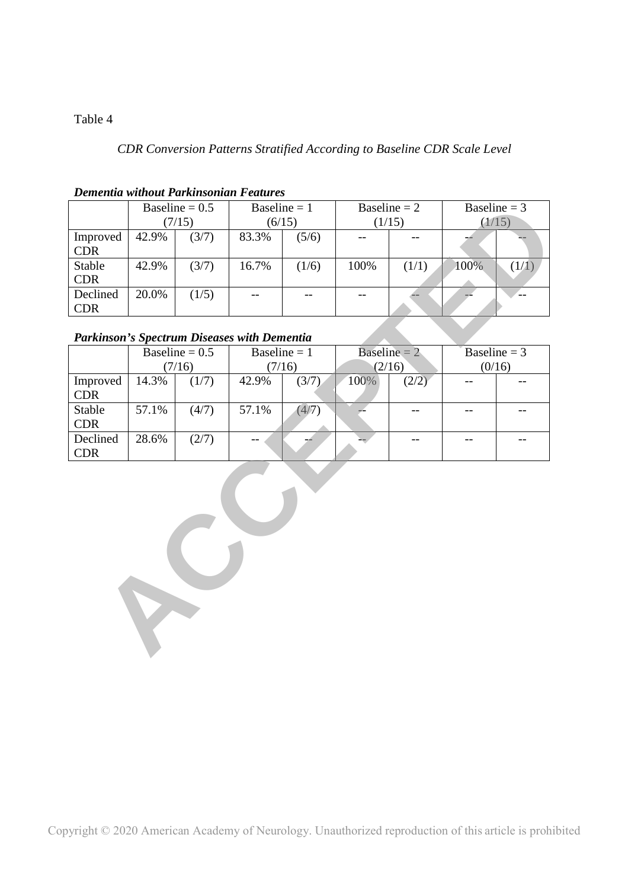## *CDR Conversion Patterns Stratified According to Baseline CDR Scale Level*

|                                                    |       | Baseline = $0.5$ | Baseline = $1$ |                                               | Baseline $= 2$           |                         | Baseline = $3$ |                |
|----------------------------------------------------|-------|------------------|----------------|-----------------------------------------------|--------------------------|-------------------------|----------------|----------------|
|                                                    |       | (7/15)           |                | (1/15)<br>(1/15)<br>(6/15)                    |                          |                         |                |                |
| Improved<br><b>CDR</b>                             | 42.9% | (3/7)            | 83.3%          | (5/6)                                         | --                       |                         |                |                |
| Stable<br><b>CDR</b>                               | 42.9% | (3/7)            | 16.7%          | (1/6)                                         | 100%                     | (1/1)                   | 100%           | (1/1)          |
| Declined<br><b>CDR</b>                             | 20.0% | (1/5)            | $-$            | $\mathord{\hspace{1pt}\text{--}\hspace{1pt}}$ | $\overline{\phantom{a}}$ | Œ                       |                | Ξ.             |
| <b>Parkinson's Spectrum Diseases with Dementia</b> |       |                  |                |                                               |                          |                         |                |                |
|                                                    |       | Baseline = $0.5$ | Baseline = $1$ |                                               |                          | Baseline = $2 \epsilon$ |                | Baseline = $3$ |
|                                                    |       | (7/16)           |                | (7/16)                                        |                          | (2/16)                  |                | (0/16)         |
| Improved<br><b>CDR</b>                             | 14.3% | (1/7)            | 42.9%          | (3/7)                                         | 100%                     | (2/2)                   |                |                |
| Stable<br><b>CDR</b>                               | 57.1% | (4/7)            | 57.1%          | (4/7)                                         | 44                       | --                      | --             | --             |
| Declined<br><b>CDR</b>                             | 28.6% | (2/7)            |                |                                               |                          | --                      | --             | --             |
|                                                    |       |                  |                |                                               |                          |                         |                |                |
|                                                    |       |                  |                |                                               |                          |                         |                |                |

#### *Dementia without Parkinsonian Features*

## *Parkinson's Spectrum Diseases with Dementia*

|                        |       | Baseline = $0.5$<br>(7/16) |       | Baseline $= 1$<br>(7/16) |      | Baseline $= 2$<br>(2/16) | Baseline $=$ 3<br>(0/16) |  |
|------------------------|-------|----------------------------|-------|--------------------------|------|--------------------------|--------------------------|--|
| Improved<br><b>CDR</b> | 14.3% | (1/7)                      | 42.9% | (3/7)                    | 100% | (2/2)                    |                          |  |
| Stable<br><b>CDR</b>   | 57.1% | (4/7)                      | 57.1% | (4/7)                    |      |                          |                          |  |
| Declined<br><b>CDR</b> | 28.6% | (2/7)                      |       |                          |      |                          |                          |  |